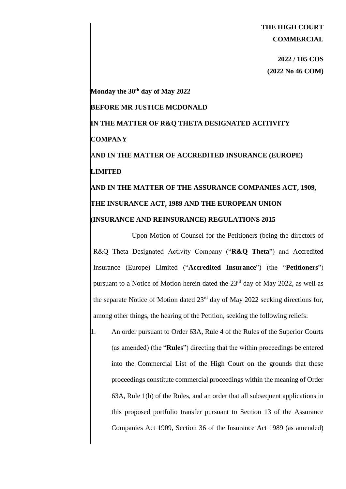## **THE HIGH COURT COMMERCIAL**

**2022 / 105 COS (2022 No 46 COM)** 

**Monday the 30th day of May 2022 BEFORE MR JUSTICE MCDONALD IN THE MATTER OF R&Q THETA DESIGNATED ACITIVITY COMPANY** A**ND IN THE MATTER OF ACCREDITED INSURANCE (EUROPE) LIMITED AND IN THE MATTER OF THE ASSURANCE COMPANIES ACT, 1909, THE INSURANCE ACT, 1989 AND THE EUROPEAN UNION (INSURANCE AND REINSURANCE) REGULATIONS 2015**

Upon Motion of Counsel for the Petitioners (being the directors of R&Q Theta Designated Activity Company ("**R&Q Theta**") and Accredited Insurance (Europe) Limited ("**Accredited Insurance**") (the "**Petitioners**") pursuant to a Notice of Motion herein dated the  $23<sup>rd</sup>$  day of May 2022, as well as the separate Notice of Motion dated  $23<sup>rd</sup>$  day of May 2022 seeking directions for, among other things, the hearing of the Petition, seeking the following reliefs:

1. An order pursuant to Order 63A, Rule 4 of the Rules of the Superior Courts (as amended) (the "**Rules**") directing that the within proceedings be entered into the Commercial List of the High Court on the grounds that these proceedings constitute commercial proceedings within the meaning of Order 63A, Rule 1(b) of the Rules, and an order that all subsequent applications in this proposed portfolio transfer pursuant to Section 13 of the Assurance Companies Act 1909, Section 36 of the Insurance Act 1989 (as amended)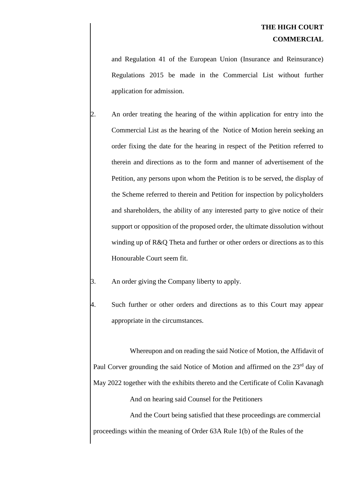and Regulation 41 of the European Union (Insurance and Reinsurance) Regulations 2015 be made in the Commercial List without further application for admission.

- 2. An order treating the hearing of the within application for entry into the Commercial List as the hearing of the Notice of Motion herein seeking an order fixing the date for the hearing in respect of the Petition referred to therein and directions as to the form and manner of advertisement of the Petition, any persons upon whom the Petition is to be served, the display of the Scheme referred to therein and Petition for inspection by policyholders and shareholders, the ability of any interested party to give notice of their support or opposition of the proposed order, the ultimate dissolution without winding up of R&Q Theta and further or other orders or directions as to this Honourable Court seem fit.
- An order giving the Company liberty to apply.
- Such further or other orders and directions as to this Court may appear appropriate in the circumstances.

Whereupon and on reading the said Notice of Motion, the Affidavit of Paul Corver grounding the said Notice of Motion and affirmed on the 23<sup>rd</sup> day of May 2022 together with the exhibits thereto and the Certificate of Colin Kavanagh And on hearing said Counsel for the Petitioners And the Court being satisfied that these proceedings are commercial

proceedings within the meaning of Order 63A Rule 1(b) of the Rules of the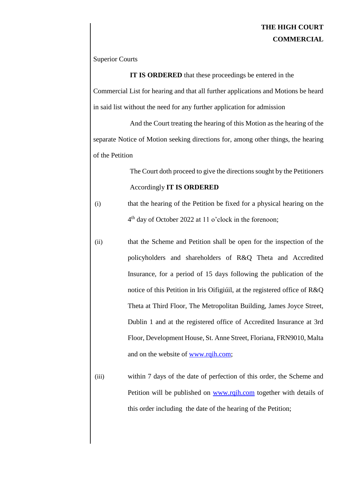## **THE HIGH COURT COMMERCIAL**

Superior Courts

**IT IS ORDERED** that these proceedings be entered in the Commercial List for hearing and that all further applications and Motions be heard in said list without the need for any further application for admission

And the Court treating the hearing of this Motion as the hearing of the separate Notice of Motion seeking directions for, among other things, the hearing of the Petition

> The Court doth proceed to give the directions sought by the Petitioners Accordingly **IT IS ORDERED**

(i) that the hearing of the Petition be fixed for a physical hearing on the 4 th day of October 2022 at 11 o'clock in the forenoon;

- (ii) that the Scheme and Petition shall be open for the inspection of the policyholders and shareholders of R&Q Theta and Accredited Insurance, for a period of 15 days following the publication of the notice of this Petition in Iris Oifigiúil, at the registered office of R&Q Theta at Third Floor, The Metropolitan Building, James Joyce Street, Dublin 1 and at the registered office of Accredited Insurance at 3rd Floor, Development House, St. Anne Street, Floriana, FRN9010, Malta and on the website of [www.rqih.com;](http://www.rqih.com/)
- (iii) within 7 days of the date of perfection of this order, the Scheme and Petition will be published on [www.rqih.com](http://www.rqih.com/) together with details of this order including the date of the hearing of the Petition;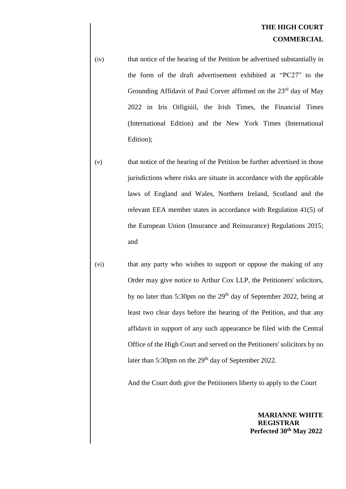(iv) that notice of the hearing of the Petition be advertised substantially in the form of the draft advertisement exhibited at "PC27" to the Grounding Affidavit of Paul Corver affirmed on the 23rd day of May 2022 in Iris Oifigiúil, the Irish Times, the Financial Times (International Edition) and the New York Times (International Edition);

- (v) that notice of the hearing of the Petition be further advertised in those jurisdictions where risks are situate in accordance with the applicable laws of England and Wales, Northern Ireland, Scotland and the relevant EEA member states in accordance with Regulation 41(5) of the European Union (Insurance and Reinsurance) Regulations 2015; and
- (vi) that any party who wishes to support or oppose the making of any Order may give notice to Arthur Cox LLP, the Petitioners' solicitors, by no later than 5:30pm on the  $29<sup>th</sup>$  day of September 2022, being at least two clear days before the hearing of the Petition, and that any affidavit in support of any such appearance be filed with the Central Office of the High Court and served on the Petitioners' solicitors by no later than 5:30pm on the 29<sup>th</sup> day of September 2022.

And the Court doth give the Petitioners liberty to apply to the Court

**MARIANNE WHITE REGISTRAR Perfected 30th May 2022**